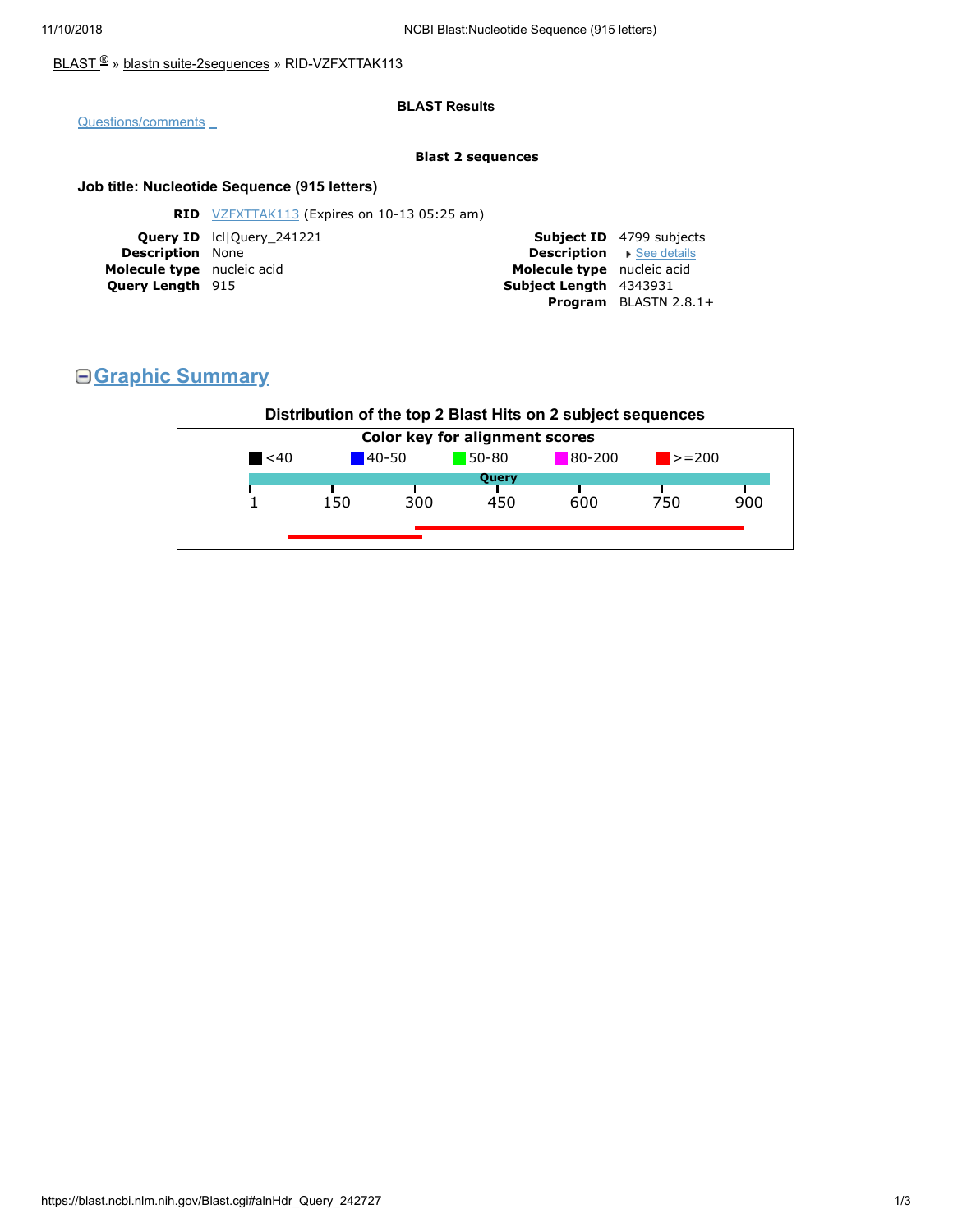### [BLAST](https://blast.ncbi.nlm.nih.gov/Blast.cgi) <sup>®</sup> » blastn [suite-2sequences](https://blast.ncbi.nlm.nih.gov/Blast.cgi?PAGE=MegaBlast&PROGRAM=blastn&PAGE_TYPE=BlastSearch&BLAST_SPEC=blast2seq) » RID-VZFXTTAK113

#### **BLAST Results**

[Questions/comments](https://support.nlm.nih.gov/knowledgebase/category/?id=CAT-01239)

#### **Blast 2 sequences**

### **Job title: Nucleotide Sequence (915 letters)**

| <b>Subject ID</b> 4799 subjects |
|---------------------------------|
|                                 |
| <b>Description</b> See details  |
| Molecule type nucleic acid      |
|                                 |
| <b>Program</b> BLASTN $2.8.1+$  |
|                                 |

# **Graphic Summary**

## **Distribution of the top 2 Blast Hits on 2 subject sequences**

| $140 - 50$<br>$\leq 40$<br>300<br>150 | 80-200<br>$50 - 80$<br>Query | $\blacktriangleright$ = 200 |     |
|---------------------------------------|------------------------------|-----------------------------|-----|
|                                       |                              |                             |     |
|                                       |                              |                             |     |
|                                       | 600<br>450                   | 750                         | 900 |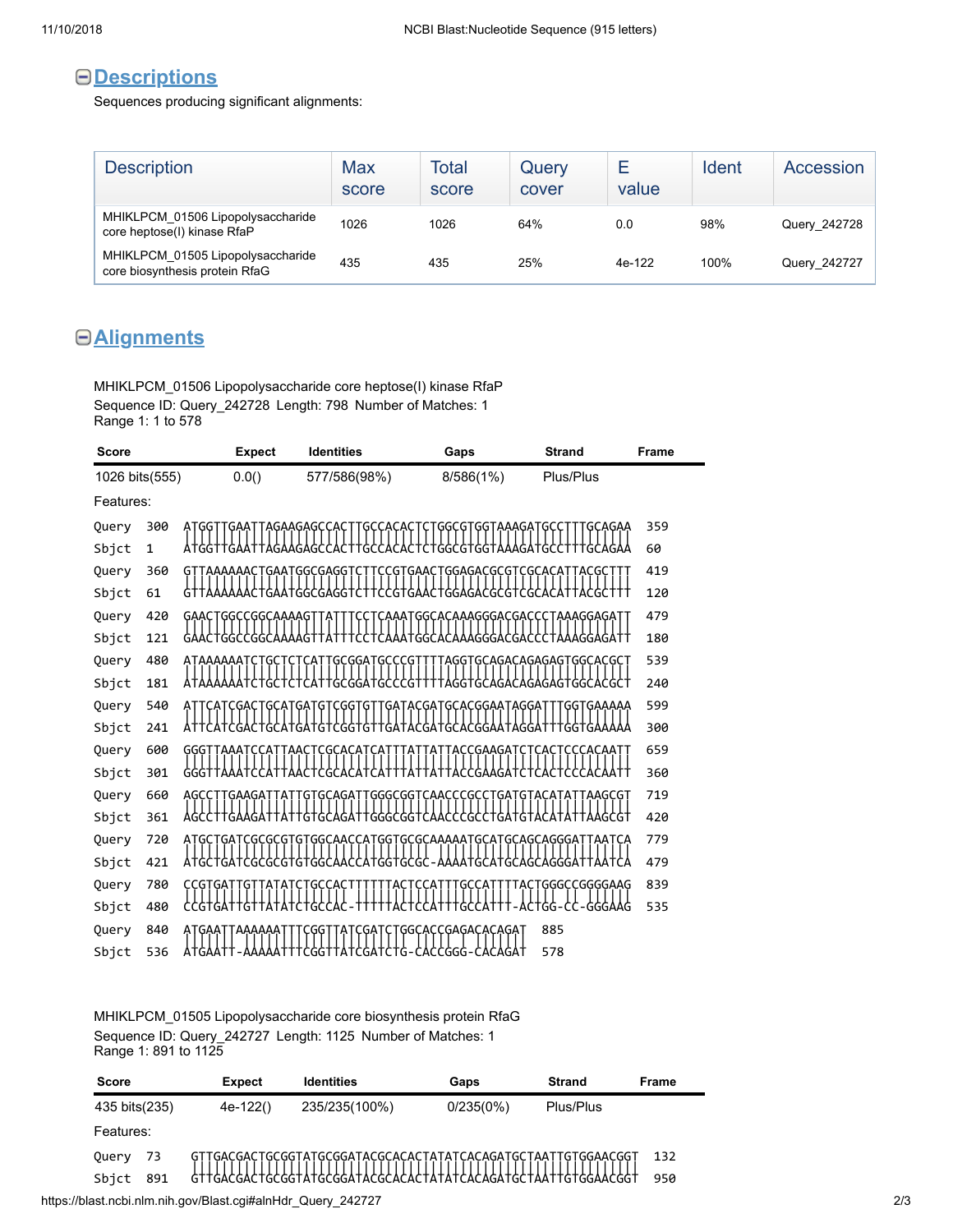# **Descriptions**

Sequences producing significant alignments:

| <b>Description</b>                                                  | Max<br>score | Total<br>score | Query<br>cover | Е<br>value | Ident | Accession    |
|---------------------------------------------------------------------|--------------|----------------|----------------|------------|-------|--------------|
| MHIKLPCM 01506 Lipopolysaccharide<br>core heptose(I) kinase RfaP    | 1026         | 1026           | 64%            | 0.0        | 98%   | Query 242728 |
| MHIKLPCM_01505 Lipopolysaccharide<br>core biosynthesis protein RfaG | 435          | 435            | 25%            | 4e-122     | 100%  | Query_242727 |

# **Alignments**

MHIKLPCM\_01506 Lipopolysaccharide core heptose(I) kinase RfaP Sequence ID: Query\_242728 Length: 798 Number of Matches: 1 Range 1: 1 to 578

| <b>Score</b>   |              | <b>Expect</b>             | <b>Identities</b>              | Gaps                                | <b>Strand</b>         | Frame |
|----------------|--------------|---------------------------|--------------------------------|-------------------------------------|-----------------------|-------|
| 1026 bits(555) |              | 0.0()                     | 577/586(98%)                   | 8/586(1%)                           | Plus/Plus             |       |
| Features:      |              |                           |                                |                                     |                       |       |
| Query          | 300          | ATGG<br>gaa               | AGAAGAGCCAC<br>GC              | GGCGTGGTAAAGATGC                    | GCAGAA                | 359   |
| Sbjct          | $\mathbf{1}$ |                           | AGAAGAGCCAC<br>GCCACA          | TGGCGTGGTAA                         | G                     | 60    |
| Query          | 360          | AAAAAACTGAATGGCGAGGT<br>G | CG T                           | GAACTGGAGACGCGTCGCACA               | ACG:                  | 419   |
| Sbjct          | 61           |                           |                                |                                     |                       | 120   |
| Query          | 420          | GAACTGGCCGGCAAAAGTTA      | тсс                            | TCAAATGGCACAAAGGGACGACCCTAAAGGAGATT |                       | 479   |
| Sbjct          | 121          | <b>GAACTGGCCGGCAA</b>     |                                | CAAATGGCACAAAGGGACGACCCTAAAGGAGATT  |                       | 180   |
| Query          | 480          | ATAAAAAA<br>G             | GCGGA<br>GCC.                  | AGG<br>G                            | GCAGACAGAGAGTGGCACGCT | 539   |
| Sbjct          | 181          | G                         | `ĠĠA                           | GG1<br>AGA<br>G<br>GC               | AGAGAGTGGCACGCT       | 240   |
| Query          | 540          | <b>GCAT</b>               | GA T<br><b>CGGT</b><br>Ģ<br>ĢΤ | GATACGATGCACGGAATAGGAT              | GGTGAAAAA             | 599   |
| Sbjct          | 241          |                           | GT<br>CGG1<br>GTT              | GCACGGAAT                           |                       | 300   |
| Query          | 600          | GGG <sup>-</sup>          | CGCACA                         | CCGAAGAT                            |                       | 659   |
| Sbjct          | 301          |                           |                                |                                     |                       | 360   |
| Query          | 660          | GAAGA<br>AGC              |                                | GGGCGGTCAACCCGC                     | `AAGCGT               | 719   |
| Sbjct          | 361          |                           | GGGCGGT                        |                                     |                       | 420   |
| Query          | 720          |                           |                                |                                     |                       | 779   |
| Sbjct          | 421          | 416CTGAT<br>G             | G<br>GGT                       | GCGC:                               | AGGGAT<br>AGC         | 479   |
| Query          | 780          |                           |                                |                                     | TACTGGGCCGGGGAAG      | 839   |
| Sbjct          | 480          | CCGTGAT                   |                                |                                     | G                     | 535   |
| Query          | 840          | GAA.<br>AAAAAA            | GG                             | :GGCACCGAGACACAGAT                  | 885                   |       |
| Sbjct          | 536          |                           | `GA<br>ΤG<br>GG                | CACCGGG<br>CACAGAT                  | 578                   |       |

MHIKLPCM\_01505 Lipopolysaccharide core biosynthesis protein RfaG Sequence ID: Query\_242727 Length: 1125 Number of Matches: 1 Range 1: 891 to 1125

| <b>Score</b>  |     | <b>Expect</b> | <b>Identities</b>                                                                                                            | Gaps      | <b>Strand</b> | Frame |
|---------------|-----|---------------|------------------------------------------------------------------------------------------------------------------------------|-----------|---------------|-------|
| 435 bits(235) |     | $4e-122()$    | 235/235(100%)                                                                                                                | 0/235(0%) | Plus/Plus     |       |
| Features:     |     |               |                                                                                                                              |           |               |       |
| Query         | 73  |               | GTTGACGACTGCGGTATGCGGATACGCACACTATATCACAGATGCTAATTGTGGAACGGT<br>GTTGACGACTGCGGTATGCGGATACGCACACTATATCACAGATGCTAATTGTGGAACGGT |           |               | 132   |
| Sbict         | 891 |               |                                                                                                                              |           |               | 950   |

https://blast.ncbi.nlm.nih.gov/Blast.cgi#alnHdr\_Query\_242727 2/3